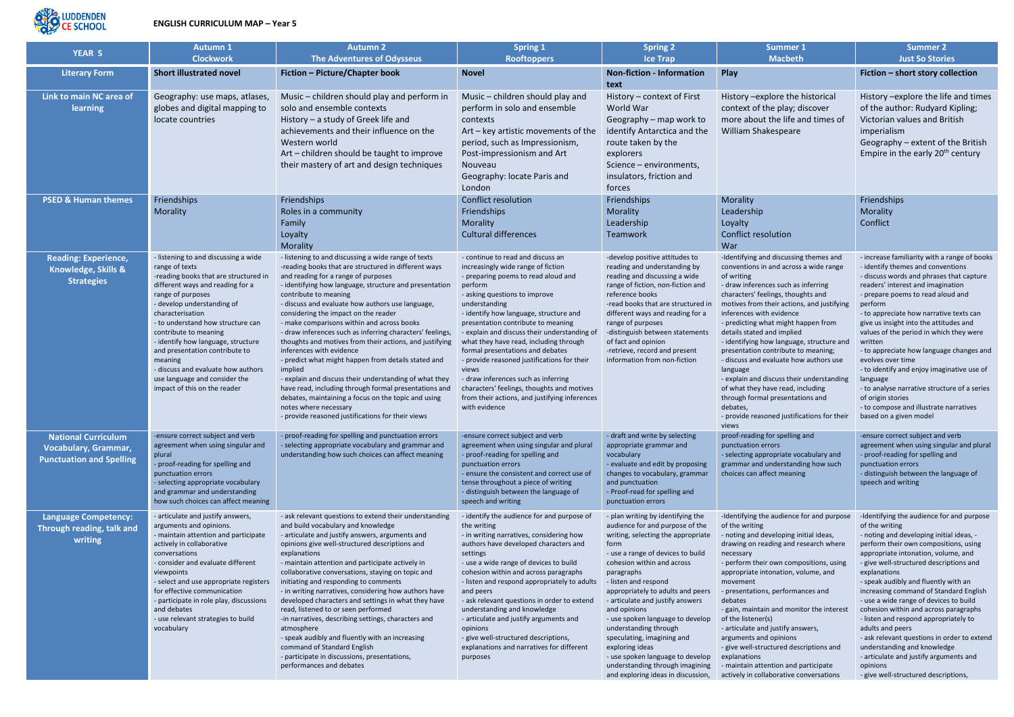

## **ENGLISH CURRICULUM MAP – Year 5**

| <b>YEAR 5</b>                                                                                | <b>Autumn 1</b>                                                                                                                                                                                                                                                                                                                                                                                                                                                    | <b>Autumn 2</b>                                                                                                                                                                                                                                                                                                                                                                                                                                                                                                                                                                                                                                                                                                                                                                                                                                               | <b>Spring 1</b>                                                                                                                                                                                                                                                                                                                                                                                                                                                                                                                                                                                          | <b>Spring 2</b>                                                                                                                                                                                                                                                                                                                                                                                                                                                                                                                                 | <b>Summer 1</b>                                                                                                                                                                                                                                                                                                                                                                                                                                                                                                                                                                                                                                                | <b>Summer 2</b>                                                                                                                                                                                                                                                                                                                                                                                                                                                                                                                                                                                                                                                  |
|----------------------------------------------------------------------------------------------|--------------------------------------------------------------------------------------------------------------------------------------------------------------------------------------------------------------------------------------------------------------------------------------------------------------------------------------------------------------------------------------------------------------------------------------------------------------------|---------------------------------------------------------------------------------------------------------------------------------------------------------------------------------------------------------------------------------------------------------------------------------------------------------------------------------------------------------------------------------------------------------------------------------------------------------------------------------------------------------------------------------------------------------------------------------------------------------------------------------------------------------------------------------------------------------------------------------------------------------------------------------------------------------------------------------------------------------------|----------------------------------------------------------------------------------------------------------------------------------------------------------------------------------------------------------------------------------------------------------------------------------------------------------------------------------------------------------------------------------------------------------------------------------------------------------------------------------------------------------------------------------------------------------------------------------------------------------|-------------------------------------------------------------------------------------------------------------------------------------------------------------------------------------------------------------------------------------------------------------------------------------------------------------------------------------------------------------------------------------------------------------------------------------------------------------------------------------------------------------------------------------------------|----------------------------------------------------------------------------------------------------------------------------------------------------------------------------------------------------------------------------------------------------------------------------------------------------------------------------------------------------------------------------------------------------------------------------------------------------------------------------------------------------------------------------------------------------------------------------------------------------------------------------------------------------------------|------------------------------------------------------------------------------------------------------------------------------------------------------------------------------------------------------------------------------------------------------------------------------------------------------------------------------------------------------------------------------------------------------------------------------------------------------------------------------------------------------------------------------------------------------------------------------------------------------------------------------------------------------------------|
|                                                                                              | <b>Clockwork</b>                                                                                                                                                                                                                                                                                                                                                                                                                                                   | <b>The Adventures of Odysseus</b>                                                                                                                                                                                                                                                                                                                                                                                                                                                                                                                                                                                                                                                                                                                                                                                                                             | <b>Rooftoppers</b>                                                                                                                                                                                                                                                                                                                                                                                                                                                                                                                                                                                       | <b>Ice Trap</b>                                                                                                                                                                                                                                                                                                                                                                                                                                                                                                                                 | <b>Macbeth</b>                                                                                                                                                                                                                                                                                                                                                                                                                                                                                                                                                                                                                                                 | <b>Just So Stories</b>                                                                                                                                                                                                                                                                                                                                                                                                                                                                                                                                                                                                                                           |
| <b>Literary Form</b>                                                                         | <b>Short illustrated novel</b>                                                                                                                                                                                                                                                                                                                                                                                                                                     | Fiction - Picture/Chapter book                                                                                                                                                                                                                                                                                                                                                                                                                                                                                                                                                                                                                                                                                                                                                                                                                                | <b>Novel</b>                                                                                                                                                                                                                                                                                                                                                                                                                                                                                                                                                                                             | <b>Non-fiction - Information</b><br>text                                                                                                                                                                                                                                                                                                                                                                                                                                                                                                        | Play                                                                                                                                                                                                                                                                                                                                                                                                                                                                                                                                                                                                                                                           | Fiction - short story collection                                                                                                                                                                                                                                                                                                                                                                                                                                                                                                                                                                                                                                 |
| Link to main NC area of<br>learning                                                          | Geography: use maps, atlases,<br>globes and digital mapping to<br>locate countries                                                                                                                                                                                                                                                                                                                                                                                 | Music – children should play and perform in<br>solo and ensemble contexts<br>History - a study of Greek life and<br>achievements and their influence on the<br>Western world<br>Art - children should be taught to improve<br>their mastery of art and design techniques                                                                                                                                                                                                                                                                                                                                                                                                                                                                                                                                                                                      | Music – children should play and<br>perform in solo and ensemble<br>contexts<br>Art - key artistic movements of the<br>period, such as Impressionism,<br>Post-impressionism and Art<br>Nouveau<br>Geography: locate Paris and<br>London                                                                                                                                                                                                                                                                                                                                                                  | History - context of First<br>World War<br>Geography - map work to<br>identify Antarctica and the<br>route taken by the<br>explorers<br>Science - environments,<br>insulators, friction and<br>forces                                                                                                                                                                                                                                                                                                                                           | History -explore the historical<br>context of the play; discover<br>more about the life and times of<br>William Shakespeare                                                                                                                                                                                                                                                                                                                                                                                                                                                                                                                                    | History - explore the life and times<br>of the author: Rudyard Kipling;<br>Victorian values and British<br>imperialism<br>Geography - extent of the British<br>Empire in the early 20 <sup>th</sup> century                                                                                                                                                                                                                                                                                                                                                                                                                                                      |
| <b>PSED &amp; Human themes</b>                                                               | Friendships<br>Morality                                                                                                                                                                                                                                                                                                                                                                                                                                            | Friendships<br>Roles in a community<br>Family<br>Loyalty<br>Morality                                                                                                                                                                                                                                                                                                                                                                                                                                                                                                                                                                                                                                                                                                                                                                                          | <b>Conflict resolution</b><br>Friendships<br>Morality<br><b>Cultural differences</b>                                                                                                                                                                                                                                                                                                                                                                                                                                                                                                                     | Friendships<br>Morality<br>Leadership<br>Teamwork                                                                                                                                                                                                                                                                                                                                                                                                                                                                                               | Morality<br>Leadership<br>Loyalty<br><b>Conflict resolution</b><br>War                                                                                                                                                                                                                                                                                                                                                                                                                                                                                                                                                                                         | Friendships<br>Morality<br>Conflict                                                                                                                                                                                                                                                                                                                                                                                                                                                                                                                                                                                                                              |
| <b>Reading: Experience,</b><br>Knowledge, Skills &<br><b>Strategies</b>                      | - listening to and discussing a wide<br>range of texts<br>-reading books that are structured in<br>different ways and reading for a<br>range of purposes<br>- develop understanding of<br>characterisation<br>- to understand how structure can<br>contribute to meaning<br>- identify how language, structure<br>and presentation contribute to<br>meaning<br>- discuss and evaluate how authors<br>use language and consider the<br>impact of this on the reader | - listening to and discussing a wide range of texts<br>-reading books that are structured in different ways<br>and reading for a range of purposes<br>- identifying how language, structure and presentation<br>contribute to meaning<br>- discuss and evaluate how authors use language,<br>considering the impact on the reader<br>- make comparisons within and across books<br>- draw inferences such as inferring characters' feelings,<br>thoughts and motives from their actions, and justifying<br>inferences with evidence<br>- predict what might happen from details stated and<br>implied<br>- explain and discuss their understanding of what they<br>have read, including through formal presentations and<br>debates, maintaining a focus on the topic and using<br>notes where necessary<br>- provide reasoned justifications for their views | - continue to read and discuss an<br>increasingly wide range of fiction<br>- preparing poems to read aloud and<br>perform<br>- asking questions to improve<br>understanding<br>- identify how language, structure and<br>presentation contribute to meaning<br>- explain and discuss their understanding of<br>what they have read, including through<br>formal presentations and debates<br>- provide reasoned justifications for their<br>views<br>- draw inferences such as inferring<br>characters' feelings, thoughts and motives<br>from their actions, and justifying inferences<br>with evidence | -develop positive attitudes to<br>reading and understanding by<br>reading and discussing a wide<br>range of fiction, non-fiction and<br>reference books<br>-read books that are structured in<br>different ways and reading for a<br>range of purposes<br>-distinguish between statements<br>of fact and opinion<br>-retrieve, record and present<br>information from non-fiction                                                                                                                                                               | -Identifying and discussing themes and<br>conventions in and across a wide range<br>of writing<br>- draw inferences such as inferring<br>characters' feelings, thoughts and<br>motives from their actions, and justifying<br>inferences with evidence<br>- predicting what might happen from<br>details stated and implied<br>- identifying how language, structure and<br>presentation contribute to meaning;<br>- discuss and evaluate how authors use<br>language<br>- explain and discuss their understanding<br>of what they have read, including<br>through formal presentations and<br>debates,<br>- provide reasoned justifications for their<br>views | - increase familiarity with a range of books<br>- identify themes and conventions<br>- discuss words and phrases that capture<br>readers' interest and imagination<br>- prepare poems to read aloud and<br>perform<br>- to appreciate how narrative texts can<br>give us insight into the attitudes and<br>values of the period in which they were<br>written<br>- to appreciate how language changes and<br>evolves over time<br>- to identify and enjoy imaginative use of<br>language<br>- to analyse narrative structure of a series<br>of origin stories<br>- to compose and illustrate narratives<br>based on a given model                                |
| <b>National Curriculum</b><br><b>Vocabulary, Grammar,</b><br><b>Punctuation and Spelling</b> | -ensure correct subject and verb<br>agreement when using singular and<br>plural<br>- proof-reading for spelling and<br>punctuation errors<br>- selecting appropriate vocabulary<br>and grammar and understanding<br>how such choices can affect meaning                                                                                                                                                                                                            | - proof-reading for spelling and punctuation errors<br>- selecting appropriate vocabulary and grammar and<br>understanding how such choices can affect meaning                                                                                                                                                                                                                                                                                                                                                                                                                                                                                                                                                                                                                                                                                                | -ensure correct subject and verb<br>agreement when using singular and plural<br>- proof-reading for spelling and<br>punctuation errors<br>- ensure the consistent and correct use of<br>tense throughout a piece of writing<br>- distinguish between the language of<br>speech and writing                                                                                                                                                                                                                                                                                                               | - draft and write by selecting<br>appropriate grammar and<br>vocabulary<br>- evaluate and edit by proposing<br>changes to vocabulary, grammar<br>and punctuation<br>- Proof-read for spelling and<br>punctuation errors                                                                                                                                                                                                                                                                                                                         | proof-reading for spelling and<br>punctuation errors<br>- selecting appropriate vocabulary and<br>grammar and understanding how such<br>choices can affect meaning                                                                                                                                                                                                                                                                                                                                                                                                                                                                                             | -ensure correct subject and verb<br>agreement when using singular and plural<br>- proof-reading for spelling and<br>punctuation errors<br>- distinguish between the language of<br>speech and writing                                                                                                                                                                                                                                                                                                                                                                                                                                                            |
| <b>Language Competency:</b><br>Through reading, talk and<br>writing                          | - articulate and justify answers,<br>arguments and opinions.<br>- maintain attention and participate<br>actively in collaborative<br>conversations<br>- consider and evaluate different<br>viewpoints<br>- select and use appropriate registers<br>for effective communication<br>- participate in role play, discussions<br>and debates<br>- use relevant strategies to build<br>vocabulary                                                                       | - ask relevant questions to extend their understanding<br>and build vocabulary and knowledge<br>- articulate and justify answers, arguments and<br>opinions give well-structured descriptions and<br>explanations<br>- maintain attention and participate actively in<br>collaborative conversations, staying on topic and<br>initiating and responding to comments<br>- in writing narratives, considering how authors have<br>developed characters and settings in what they have<br>read, listened to or seen performed<br>-in narratives, describing settings, characters and<br>atmosphere<br>- speak audibly and fluently with an increasing<br>command of Standard English<br>- participate in discussions, presentations,<br>performances and debates                                                                                                 | - identify the audience for and purpose of<br>the writing<br>- in writing narratives, considering how<br>authors have developed characters and<br>settings<br>- use a wide range of devices to build<br>cohesion within and across paragraphs<br>- listen and respond appropriately to adults<br>and peers<br>- ask relevant questions in order to extend<br>understanding and knowledge<br>- articulate and justify arguments and<br>opinions<br>- give well-structured descriptions,<br>explanations and narratives for different<br>purposes                                                          | - plan writing by identifying the<br>audience for and purpose of the<br>writing, selecting the appropriate<br>form<br>- use a range of devices to build<br>cohesion within and across<br>paragraphs<br>- listen and respond<br>appropriately to adults and peers<br>- articulate and justify answers<br>and opinions<br>- use spoken language to develop<br>understanding through<br>speculating, imagining and<br>exploring ideas<br>- use spoken language to develop<br>understanding through imagining<br>and exploring ideas in discussion, | -Identifying the audience for and purpose<br>of the writing<br>- noting and developing initial ideas,<br>drawing on reading and research where<br>necessary<br>- perform their own compositions, using<br>appropriate intonation, volume, and<br>movement<br>- presentations, performances and<br>debates<br>- gain, maintain and monitor the interest<br>of the listener(s)<br>- articulate and justify answers,<br>arguments and opinions<br>- give well-structured descriptions and<br>explanations<br>- maintain attention and participate<br>actively in collaborative conversations                                                                      | -Identifying the audience for and purpose<br>of the writing<br>- noting and developing initial ideas, -<br>perform their own compositions, using<br>appropriate intonation, volume, and<br>- give well-structured descriptions and<br>explanations<br>- speak audibly and fluently with an<br>increasing command of Standard English<br>- use a wide range of devices to build<br>cohesion within and across paragraphs<br>- listen and respond appropriately to<br>adults and peers<br>- ask relevant questions in order to extend<br>understanding and knowledge<br>- articulate and justify arguments and<br>opinions<br>- give well-structured descriptions, |